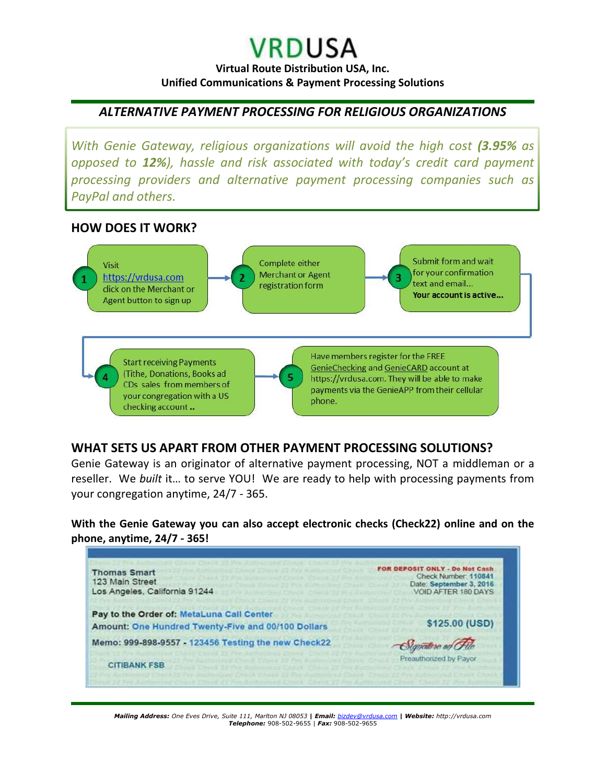## **VRDUSA**

**Virtual Route Distribution USA, Inc. Unified Communications & Payment Processing Solutions**

#### *ALTERNATIVE PAYMENT PROCESSING FOR RELIGIOUS ORGANIZATIONS*

*With Genie Gateway, religious organizations will avoid the high cost (3.95% as opposed to 12%), hassle and risk associated with today's credit card payment processing providers and alternative payment processing companies such as PayPal and others.* 

#### **HOW DOES IT WORK?**



#### **WHAT SETS US APART FROM OTHER PAYMENT PROCESSING SOLUTIONS?**

Genie Gateway is an originator of alternative payment processing, NOT a middleman or a reseller. We *built* it… to serve YOU! We are ready to help with processing payments from your congregation anytime, 24/7 - 365.

**With the Genie Gateway you can also accept electronic checks (Check22) online and on the phone, anytime, 24/7 - 365!** 



*Mailing Address: One Eves Drive, Suite 111, Marlton NJ 08053* **|** *Email: [bizdev@vrdusa.com](mailto:bizdev@vrdusa.com)* **|** *Website: http://vrdusa.com Telephone:* 908-502-9655 | *Fax:* 908-502-9655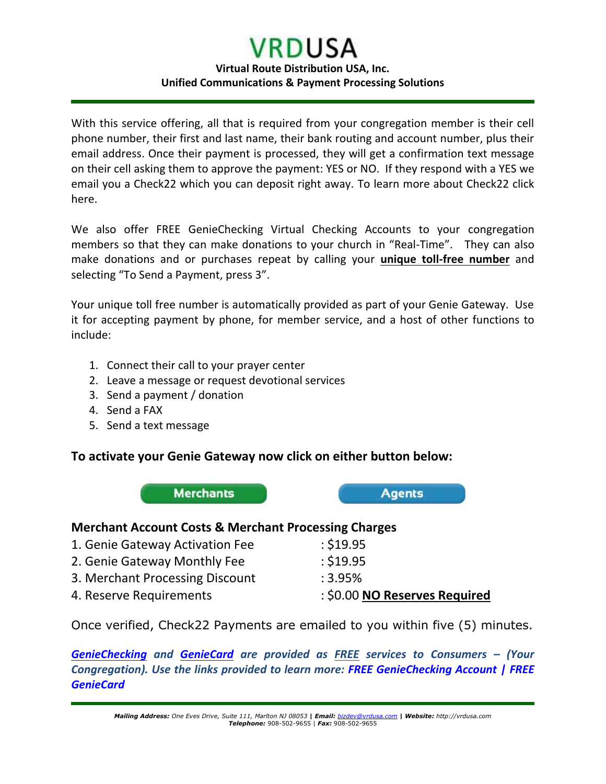# **VRDUSA**

#### **Virtual Route Distribution USA, Inc. Unified Communications & Payment Processing Solutions**

With this service offering, all that is required from your congregation member is their cell phone number, their first and last name, their bank routing and account number, plus their email address. Once their payment is processed, they will get a confirmation text message on their cell asking them to approve the payment: YES or NO. If they respond with a YES we email you a Check22 which you can deposit right away. To learn more about Check22 click here.

We also offer FREE GenieChecking Virtual Checking Accounts to your congregation members so that they can make donations to your church in "Real-Time". They can also make donations and or purchases repeat by calling your **unique toll-free number** and selecting "To Send a Payment, press 3".

Your unique toll free number is automatically provided as part of your Genie Gateway. Use it for accepting payment by phone, for member service, and a host of other functions to include:

- 1. Connect their call to your prayer center
- 2. Leave a message or request devotional services
- 3. Send a payment / donation
- 4. Send a FAX
- 5. Send a text message

#### **To activate your Genie Gateway now click on either button below:**

**Merchants Agents** 

#### **Merchant Account Costs & Merchant Processing Charges**

| 4. Reserve Requirements         | : \$0.00 NO Reserves Required |
|---------------------------------|-------------------------------|
| 3. Merchant Processing Discount | :3.95%                        |
| 2. Genie Gateway Monthly Fee    | : \$19.95                     |
| 1. Genie Gateway Activation Fee | : \$19.95                     |

Once verified, Check22 Payments are emailed to you within five (5) minutes.

*[GenieChecking](http://vrdusa.com/geniechecking.php) and [GenieCard](http://vrdusa.com/geniecard.php) are provided as FREE services to Consumers – (Your Congregation). Use the links provided to learn more: [FREE GenieChecking Account](http://vrdusa.com/gchecksignup.php) | [FREE](http://vrdusa.com/gcardsignup.php)  [GenieCard](http://vrdusa.com/gcardsignup.php)*